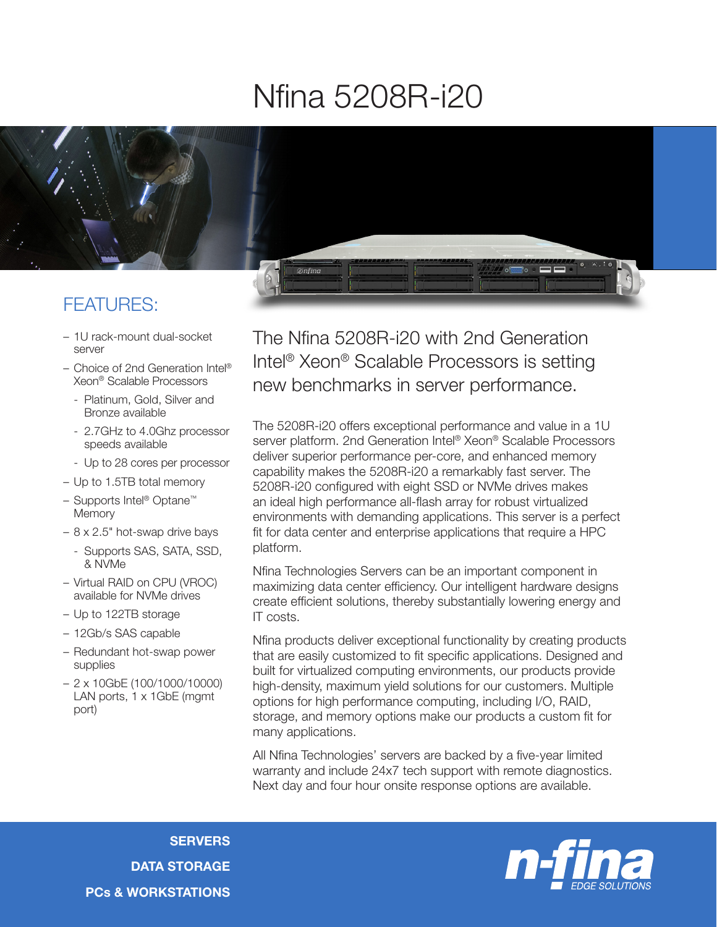## Nfina 5208R-i20



## FEATURES:

- 1U rack-mount dual-socket server
- Choice of 2nd Generation Intel® Xeon® Scalable Processors
	- Platinum, Gold, Silver and Bronze available
	- 2.7GHz to 4.0Ghz processor speeds available
	- Up to 28 cores per processor
- Up to 1.5TB total memory
- Supports Intel® Optane™ **Memory**
- 8 x 2.5" hot-swap drive bays
	- Supports SAS, SATA, SSD, & NVMe
- Virtual RAID on CPU (VROC) available for NVMe drives
- Up to 122TB storage
- 12Gb/s SAS capable
- Redundant hot-swap power supplies
- 2 x 10GbE (100/1000/10000) LAN ports, 1 x 1GbE (mgmt port)

The Nfina 5208R-i20 with 2nd Generation Intel® Xeon® Scalable Processors is setting new benchmarks in server performance.

The 5208R-i20 offers exceptional performance and value in a 1U server platform. 2nd Generation Intel® Xeon® Scalable Processors deliver superior performance per-core, and enhanced memory capability makes the 5208R-i20 a remarkably fast server. The 5208R-i20 configured with eight SSD or NVMe drives makes an ideal high performance all-flash array for robust virtualized environments with demanding applications. This server is a perfect fit for data center and enterprise applications that require a HPC platform.

Nfina Technologies Servers can be an important component in maximizing data center efficiency. Our intelligent hardware designs create efficient solutions, thereby substantially lowering energy and IT costs.

Nfina products deliver exceptional functionality by creating products that are easily customized to fit specific applications. Designed and built for virtualized computing environments, our products provide high-density, maximum yield solutions for our customers. Multiple options for high performance computing, including I/O, RAID, storage, and memory options make our products a custom fit for many applications.

All Nfina Technologies' servers are backed by a five-year limited warranty and include 24x7 tech support with remote diagnostics. Next day and four hour onsite response options are available.

**SERVERS** DATA STORAGE PCs & WORKSTATIONS

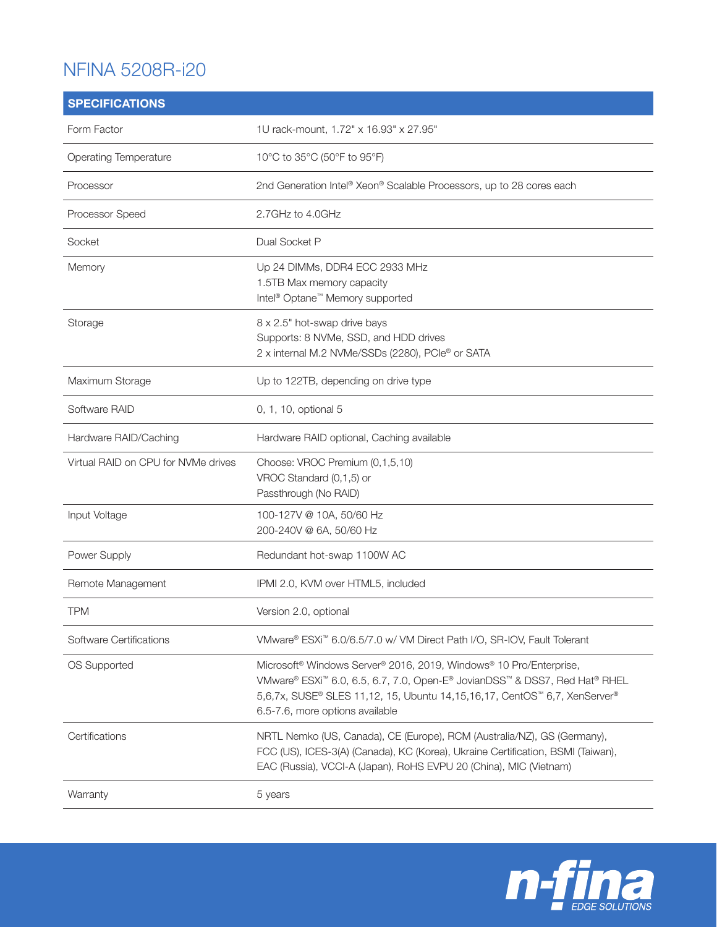## NFINA 5208R-i20

| <b>SPECIFICATIONS</b>               |                                                                                                                                                                                                                                                                              |
|-------------------------------------|------------------------------------------------------------------------------------------------------------------------------------------------------------------------------------------------------------------------------------------------------------------------------|
| Form Factor                         | 1U rack-mount, 1.72" x 16.93" x 27.95"                                                                                                                                                                                                                                       |
| <b>Operating Temperature</b>        | 10°C to 35°C (50°F to 95°F)                                                                                                                                                                                                                                                  |
| Processor                           | 2nd Generation Intel® Xeon® Scalable Processors, up to 28 cores each                                                                                                                                                                                                         |
| Processor Speed                     | 2.7GHz to 4.0GHz                                                                                                                                                                                                                                                             |
| Socket                              | Dual Socket P                                                                                                                                                                                                                                                                |
| Memory                              | Up 24 DIMMs, DDR4 ECC 2933 MHz<br>1.5TB Max memory capacity<br>Intel <sup>®</sup> Optane <sup>™</sup> Memory supported                                                                                                                                                       |
| Storage                             | 8 x 2.5" hot-swap drive bays<br>Supports: 8 NVMe, SSD, and HDD drives<br>2 x internal M.2 NVMe/SSDs (2280), PCle® or SATA                                                                                                                                                    |
| Maximum Storage                     | Up to 122TB, depending on drive type                                                                                                                                                                                                                                         |
| Software RAID                       | 0, 1, 10, optional 5                                                                                                                                                                                                                                                         |
| Hardware RAID/Caching               | Hardware RAID optional, Caching available                                                                                                                                                                                                                                    |
| Virtual RAID on CPU for NVMe drives | Choose: VROC Premium (0,1,5,10)<br>VROC Standard (0,1,5) or<br>Passthrough (No RAID)                                                                                                                                                                                         |
| Input Voltage                       | 100-127V @ 10A, 50/60 Hz<br>200-240V @ 6A, 50/60 Hz                                                                                                                                                                                                                          |
| Power Supply                        | Redundant hot-swap 1100W AC                                                                                                                                                                                                                                                  |
| Remote Management                   | IPMI 2.0, KVM over HTML5, included                                                                                                                                                                                                                                           |
| TPM                                 | Version 2.0, optional                                                                                                                                                                                                                                                        |
| Software Certifications             | VMware® ESXi™ 6.0/6.5/7.0 w/ VM Direct Path I/O, SR-IOV, Fault Tolerant                                                                                                                                                                                                      |
| OS Supported                        | Microsoft <sup>®</sup> Windows Server® 2016, 2019, Windows® 10 Pro/Enterprise,<br>VMware® ESXi™ 6.0, 6.5, 6.7, 7.0, Open-E® JovianDSS™ & DSS7, Red Hat® RHEL<br>5,6,7x, SUSE® SLES 11,12, 15, Ubuntu 14,15,16,17, CentOS™ 6,7, XenServer®<br>6.5-7.6, more options available |
| Certifications                      | NRTL Nemko (US, Canada), CE (Europe), RCM (Australia/NZ), GS (Germany),<br>FCC (US), ICES-3(A) (Canada), KC (Korea), Ukraine Certification, BSMI (Taiwan),<br>EAC (Russia), VCCI-A (Japan), RoHS EVPU 20 (China), MIC (Vietnam)                                              |
| Warranty                            | 5 years                                                                                                                                                                                                                                                                      |